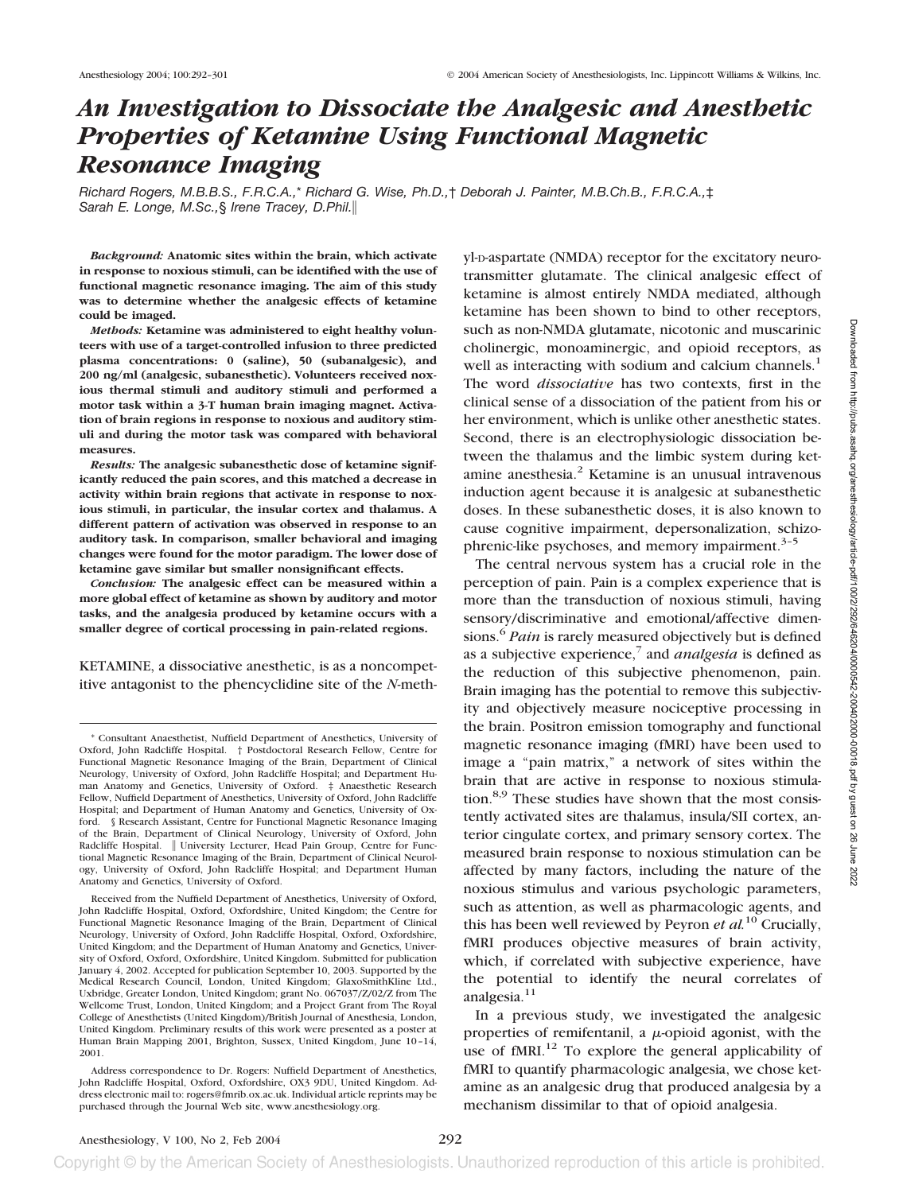# *An Investigation to Dissociate the Analgesic and Anesthetic Properties of Ketamine Using Functional Magnetic Resonance Imaging*

*Richard Rogers, M.B.B.S., F.R.C.A.,*\* *Richard G. Wise, Ph.D.,*† *Deborah J. Painter, M.B.Ch.B., F.R.C.A.,*‡ *Sarah E. Longe, M.Sc.,*§ *Irene Tracey, D.Phil.*

*Background:* **Anatomic sites within the brain, which activate in response to noxious stimuli, can be identified with the use of functional magnetic resonance imaging. The aim of this study was to determine whether the analgesic effects of ketamine could be imaged.**

*Methods:* **Ketamine was administered to eight healthy volunteers with use of a target-controlled infusion to three predicted plasma concentrations: 0 (saline), 50 (subanalgesic), and 200 ng/ml (analgesic, subanesthetic). Volunteers received noxious thermal stimuli and auditory stimuli and performed a motor task within a 3-T human brain imaging magnet. Activation of brain regions in response to noxious and auditory stimuli and during the motor task was compared with behavioral measures.**

*Results:* **The analgesic subanesthetic dose of ketamine significantly reduced the pain scores, and this matched a decrease in activity within brain regions that activate in response to noxious stimuli, in particular, the insular cortex and thalamus. A different pattern of activation was observed in response to an auditory task. In comparison, smaller behavioral and imaging changes were found for the motor paradigm. The lower dose of ketamine gave similar but smaller nonsignificant effects.**

*Conclusion:* **The analgesic effect can be measured within a more global effect of ketamine as shown by auditory and motor tasks, and the analgesia produced by ketamine occurs with a smaller degree of cortical processing in pain-related regions.**

KETAMINE, a dissociative anesthetic, is as a noncompetitive antagonist to the phencyclidine site of the *N*-methyl-D-aspartate (NMDA) receptor for the excitatory neurotransmitter glutamate. The clinical analgesic effect of ketamine is almost entirely NMDA mediated, although ketamine has been shown to bind to other receptors, such as non-NMDA glutamate, nicotonic and muscarinic cholinergic, monoaminergic, and opioid receptors, as well as interacting with sodium and calcium channels. $<sup>1</sup>$ </sup> The word *dissociative* has two contexts, first in the clinical sense of a dissociation of the patient from his or her environment, which is unlike other anesthetic states. Second, there is an electrophysiologic dissociation between the thalamus and the limbic system during ketamine anesthesia.<sup>2</sup> Ketamine is an unusual intravenous induction agent because it is analgesic at subanesthetic doses. In these subanesthetic doses, it is also known to cause cognitive impairment, depersonalization, schizophrenic-like psychoses, and memory impairment. $3-5$ 

The central nervous system has a crucial role in the perception of pain. Pain is a complex experience that is more than the transduction of noxious stimuli, having sensory/discriminative and emotional/affective dimensions.6 *Pain* is rarely measured objectively but is defined as a subjective experience,<sup>7</sup> and *analgesia* is defined as the reduction of this subjective phenomenon, pain. Brain imaging has the potential to remove this subjectivity and objectively measure nociceptive processing in the brain. Positron emission tomography and functional magnetic resonance imaging (fMRI) have been used to image a "pain matrix," a network of sites within the brain that are active in response to noxious stimulation.<sup>8,9</sup> These studies have shown that the most consistently activated sites are thalamus, insula/SII cortex, anterior cingulate cortex, and primary sensory cortex. The measured brain response to noxious stimulation can be affected by many factors, including the nature of the noxious stimulus and various psychologic parameters, such as attention, as well as pharmacologic agents, and this has been well reviewed by Peyron *et al.*<sup>10</sup> Crucially, fMRI produces objective measures of brain activity, which, if correlated with subjective experience, have the potential to identify the neural correlates of analgesia. $11$ 

<sup>\*</sup> Consultant Anaesthetist, Nuffield Department of Anesthetics, University of Oxford, John Radcliffe Hospital. † Postdoctoral Research Fellow, Centre for Functional Magnetic Resonance Imaging of the Brain, Department of Clinical Neurology, University of Oxford, John Radcliffe Hospital; and Department Human Anatomy and Genetics, University of Oxford. ‡ Anaesthetic Research Fellow, Nuffield Department of Anesthetics, University of Oxford, John Radcliffe Hospital; and Department of Human Anatomy and Genetics, University of Oxford. § Research Assistant, Centre for Functional Magnetic Resonance Imaging of the Brain, Department of Clinical Neurology, University of Oxford, John Radcliffe Hospital. | University Lecturer, Head Pain Group, Centre for Functional Magnetic Resonance Imaging of the Brain, Department of Clinical Neurology, University of Oxford, John Radcliffe Hospital; and Department Human Anatomy and Genetics, University of Oxford.

Received from the Nuffield Department of Anesthetics, University of Oxford, John Radcliffe Hospital, Oxford, Oxfordshire, United Kingdom; the Centre for Functional Magnetic Resonance Imaging of the Brain, Department of Clinical Neurology, University of Oxford, John Radcliffe Hospital, Oxford, Oxfordshire, United Kingdom; and the Department of Human Anatomy and Genetics, University of Oxford, Oxford, Oxfordshire, United Kingdom. Submitted for publication January 4, 2002. Accepted for publication September 10, 2003. Supported by the Medical Research Council, London, United Kingdom; GlaxoSmithKline Ltd., Uxbridge, Greater London, United Kingdom; grant No. 067037/Z/02/Z from The Wellcome Trust, London, United Kingdom; and a Project Grant from The Royal College of Anesthetists (United Kingdom)/British Journal of Anesthesia, London, United Kingdom. Preliminary results of this work were presented as a poster at Human Brain Mapping 2001, Brighton, Sussex, United Kingdom, June 10–14, 2001.

Address correspondence to Dr. Rogers: Nuffield Department of Anesthetics, John Radcliffe Hospital, Oxford, Oxfordshire, OX3 9DU, United Kingdom. Address electronic mail to: rogers@fmrib.ox.ac.uk. Individual article reprints may be purchased through the Journal Web site, www.anesthesiology.org.

In a previous study, we investigated the analgesic properties of remifentanil, a  $\mu$ -opioid agonist, with the use of  $fMRI$ <sup>12</sup> To explore the general applicability of fMRI to quantify pharmacologic analgesia, we chose ketamine as an analgesic drug that produced analgesia by a mechanism dissimilar to that of opioid analgesia.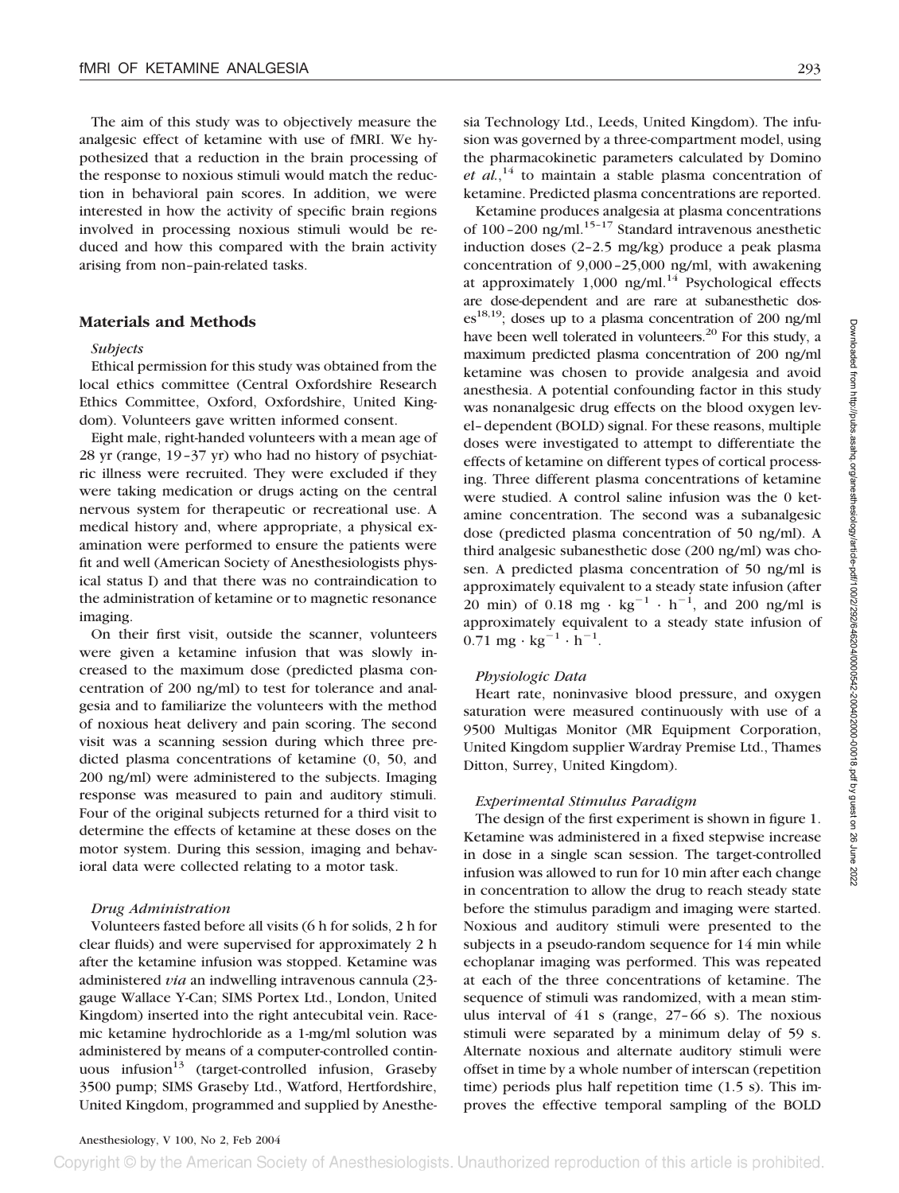The aim of this study was to objectively measure the analgesic effect of ketamine with use of fMRI. We hypothesized that a reduction in the brain processing of the response to noxious stimuli would match the reduction in behavioral pain scores. In addition, we were interested in how the activity of specific brain regions involved in processing noxious stimuli would be reduced and how this compared with the brain activity arising from non–pain-related tasks.

# **Materials and Methods**

## *Subjects*

Ethical permission for this study was obtained from the local ethics committee (Central Oxfordshire Research Ethics Committee, Oxford, Oxfordshire, United Kingdom). Volunteers gave written informed consent.

Eight male, right-handed volunteers with a mean age of 28 yr (range, 19–37 yr) who had no history of psychiatric illness were recruited. They were excluded if they were taking medication or drugs acting on the central nervous system for therapeutic or recreational use. A medical history and, where appropriate, a physical examination were performed to ensure the patients were fit and well (American Society of Anesthesiologists physical status I) and that there was no contraindication to the administration of ketamine or to magnetic resonance imaging.

On their first visit, outside the scanner, volunteers were given a ketamine infusion that was slowly increased to the maximum dose (predicted plasma concentration of 200 ng/ml) to test for tolerance and analgesia and to familiarize the volunteers with the method of noxious heat delivery and pain scoring. The second visit was a scanning session during which three predicted plasma concentrations of ketamine (0, 50, and 200 ng/ml) were administered to the subjects. Imaging response was measured to pain and auditory stimuli. Four of the original subjects returned for a third visit to determine the effects of ketamine at these doses on the motor system. During this session, imaging and behavioral data were collected relating to a motor task.

#### *Drug Administration*

Volunteers fasted before all visits (6 h for solids, 2 h for clear fluids) and were supervised for approximately 2 h after the ketamine infusion was stopped. Ketamine was administered *via* an indwelling intravenous cannula (23 gauge Wallace Y-Can; SIMS Portex Ltd., London, United Kingdom) inserted into the right antecubital vein. Racemic ketamine hydrochloride as a 1-mg/ml solution was administered by means of a computer-controlled continuous infusion $13$  (target-controlled infusion, Graseby 3500 pump; SIMS Graseby Ltd., Watford, Hertfordshire, United Kingdom, programmed and supplied by Anesthe-

sia Technology Ltd., Leeds, United Kingdom). The infusion was governed by a three-compartment model, using the pharmacokinetic parameters calculated by Domino et al.,<sup>14</sup> to maintain a stable plasma concentration of ketamine. Predicted plasma concentrations are reported.

Ketamine produces analgesia at plasma concentrations of  $100 - 200$  ng/ml.<sup>15–17</sup> Standard intravenous anesthetic induction doses (2–2.5 mg/kg) produce a peak plasma concentration of 9,000–25,000 ng/ml, with awakening at approximately  $1,000$  ng/ml.<sup>14</sup> Psychological effects are dose-dependent and are rare at subanesthetic dos $es^{18,19}$ ; doses up to a plasma concentration of 200 ng/ml have been well tolerated in volunteers.<sup>20</sup> For this study, a maximum predicted plasma concentration of 200 ng/ml ketamine was chosen to provide analgesia and avoid anesthesia. A potential confounding factor in this study was nonanalgesic drug effects on the blood oxygen level–dependent (BOLD) signal. For these reasons, multiple doses were investigated to attempt to differentiate the effects of ketamine on different types of cortical processing. Three different plasma concentrations of ketamine were studied. A control saline infusion was the 0 ketamine concentration. The second was a subanalgesic dose (predicted plasma concentration of 50 ng/ml). A third analgesic subanesthetic dose (200 ng/ml) was chosen. A predicted plasma concentration of 50 ng/ml is approximately equivalent to a steady state infusion (after 20 min) of 0.18 mg  $\cdot$  kg<sup>-1</sup>  $\cdot$  h<sup>-1</sup>, and 200 ng/ml is approximately equivalent to a steady state infusion of  $0.71$  mg · kg<sup>-1</sup> · h<sup>-1</sup>.

# *Physiologic Data*

Heart rate, noninvasive blood pressure, and oxygen saturation were measured continuously with use of a 9500 Multigas Monitor (MR Equipment Corporation, United Kingdom supplier Wardray Premise Ltd., Thames Ditton, Surrey, United Kingdom).

# *Experimental Stimulus Paradigm*

The design of the first experiment is shown in figure 1. Ketamine was administered in a fixed stepwise increase in dose in a single scan session. The target-controlled infusion was allowed to run for 10 min after each change in concentration to allow the drug to reach steady state before the stimulus paradigm and imaging were started. Noxious and auditory stimuli were presented to the subjects in a pseudo-random sequence for 14 min while echoplanar imaging was performed. This was repeated at each of the three concentrations of ketamine. The sequence of stimuli was randomized, with a mean stimulus interval of  $41$  s (range,  $27-66$  s). The noxious stimuli were separated by a minimum delay of 59 s. Alternate noxious and alternate auditory stimuli were offset in time by a whole number of interscan (repetition time) periods plus half repetition time (1.5 s). This improves the effective temporal sampling of the BOLD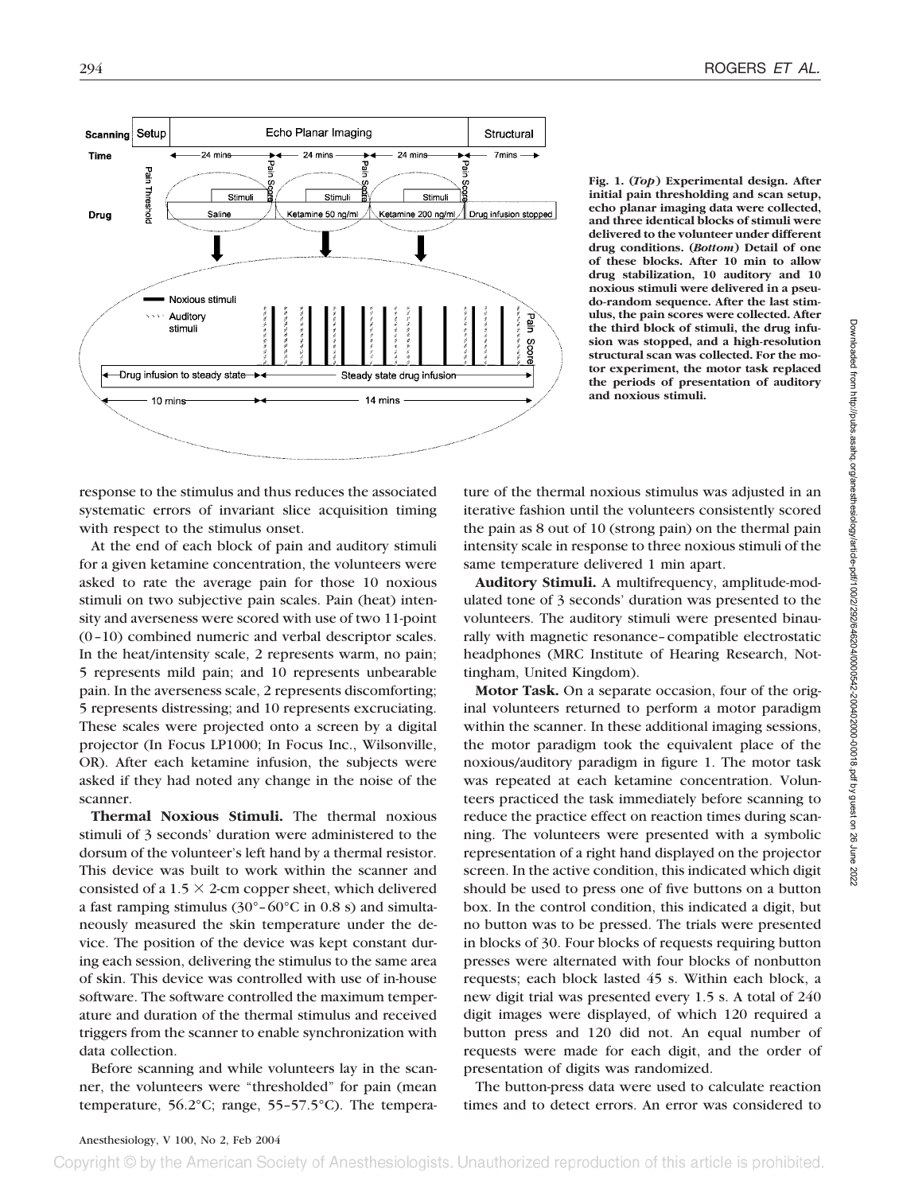

**Fig. 1. (***Top***) Experimental design. After initial pain thresholding and scan setup, echo planar imaging data were collected, and three identical blocks of stimuli were delivered to the volunteer under different drug conditions. (***Bottom***) Detail of one of these blocks. After 10 min to allow drug stabilization, 10 auditory and 10 noxious stimuli were delivered in a pseudo-random sequence. After the last stimulus, the pain scores were collected. After the third block of stimuli, the drug infusion was stopped, and a high-resolution structural scan was collected. For the motor experiment, the motor task replaced the periods of presentation of auditory and noxious stimuli.**

response to the stimulus and thus reduces the associated systematic errors of invariant slice acquisition timing with respect to the stimulus onset.

At the end of each block of pain and auditory stimuli for a given ketamine concentration, the volunteers were asked to rate the average pain for those 10 noxious stimuli on two subjective pain scales. Pain (heat) intensity and averseness were scored with use of two 11-point (0–10) combined numeric and verbal descriptor scales. In the heat/intensity scale, 2 represents warm, no pain; 5 represents mild pain; and 10 represents unbearable pain. In the averseness scale, 2 represents discomforting; 5 represents distressing; and 10 represents excruciating. These scales were projected onto a screen by a digital projector (In Focus LP1000; In Focus Inc., Wilsonville, OR). After each ketamine infusion, the subjects were asked if they had noted any change in the noise of the scanner.

**Thermal Noxious Stimuli.** The thermal noxious stimuli of 3 seconds' duration were administered to the dorsum of the volunteer's left hand by a thermal resistor. This device was built to work within the scanner and consisted of a  $1.5 \times 2$ -cm copper sheet, which delivered a fast ramping stimulus (30 $^{\circ}$ –60 $^{\circ}$ C in 0.8 s) and simultaneously measured the skin temperature under the device. The position of the device was kept constant during each session, delivering the stimulus to the same area of skin. This device was controlled with use of in-house software. The software controlled the maximum temperature and duration of the thermal stimulus and received triggers from the scanner to enable synchronization with data collection.

Before scanning and while volunteers lay in the scanner, the volunteers were "thresholded" for pain (mean temperature, 56.2°C; range, 55–57.5°C). The temperature of the thermal noxious stimulus was adjusted in an iterative fashion until the volunteers consistently scored the pain as 8 out of 10 (strong pain) on the thermal pain intensity scale in response to three noxious stimuli of the same temperature delivered 1 min apart.

**Auditory Stimuli.** A multifrequency, amplitude-modulated tone of 3 seconds' duration was presented to the volunteers. The auditory stimuli were presented binaurally with magnetic resonance–compatible electrostatic headphones (MRC Institute of Hearing Research, Nottingham, United Kingdom).

**Motor Task.** On a separate occasion, four of the original volunteers returned to perform a motor paradigm within the scanner. In these additional imaging sessions, the motor paradigm took the equivalent place of the noxious/auditory paradigm in figure 1. The motor task was repeated at each ketamine concentration. Volunteers practiced the task immediately before scanning to reduce the practice effect on reaction times during scanning. The volunteers were presented with a symbolic representation of a right hand displayed on the projector screen. In the active condition, this indicated which digit should be used to press one of five buttons on a button box. In the control condition, this indicated a digit, but no button was to be pressed. The trials were presented in blocks of 30. Four blocks of requests requiring button presses were alternated with four blocks of nonbutton requests; each block lasted 45 s. Within each block, a new digit trial was presented every 1.5 s. A total of 240 digit images were displayed, of which 120 required a button press and 120 did not. An equal number of requests were made for each digit, and the order of presentation of digits was randomized.

The button-press data were used to calculate reaction times and to detect errors. An error was considered to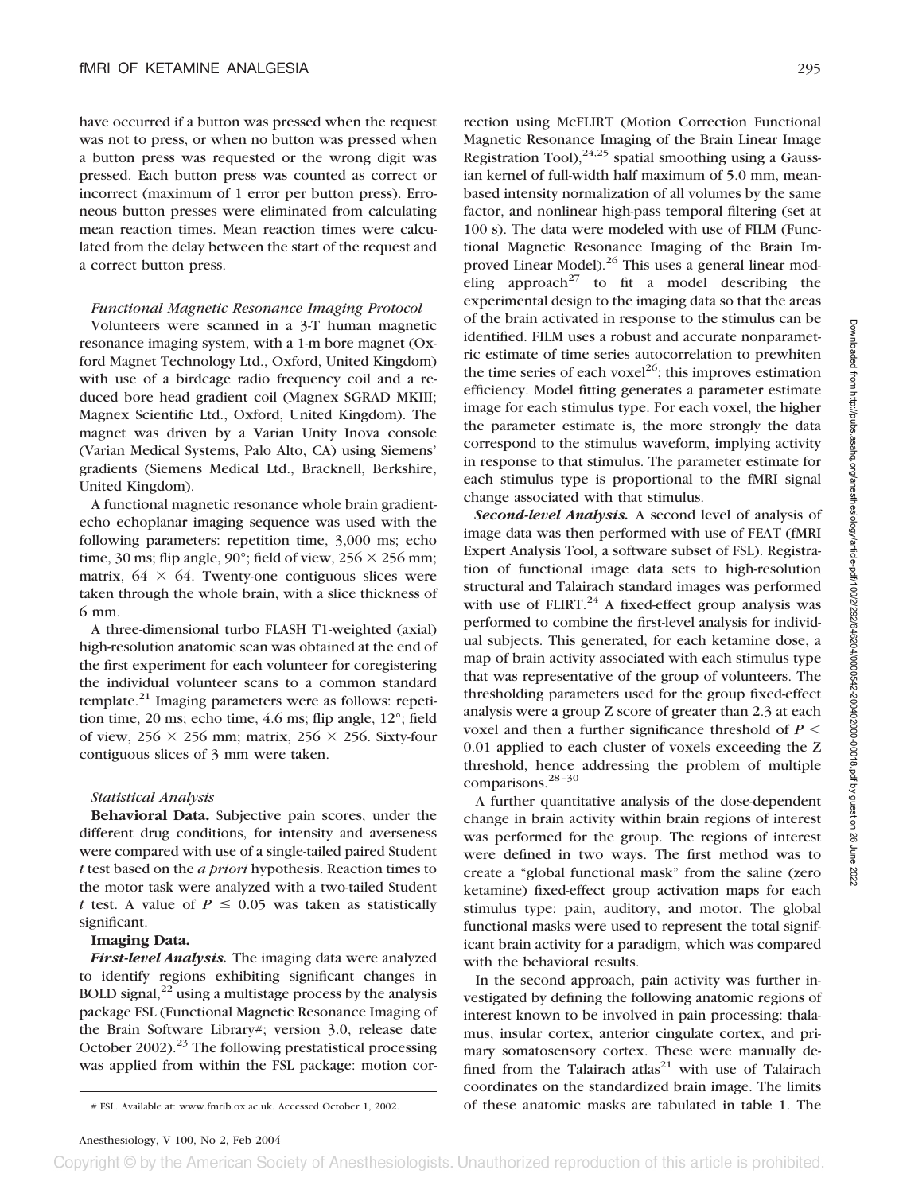have occurred if a button was pressed when the request was not to press, or when no button was pressed when a button press was requested or the wrong digit was pressed. Each button press was counted as correct or incorrect (maximum of 1 error per button press). Erroneous button presses were eliminated from calculating mean reaction times. Mean reaction times were calculated from the delay between the start of the request and a correct button press.

## *Functional Magnetic Resonance Imaging Protocol*

Volunteers were scanned in a 3-T human magnetic resonance imaging system, with a 1-m bore magnet (Oxford Magnet Technology Ltd., Oxford, United Kingdom) with use of a birdcage radio frequency coil and a reduced bore head gradient coil (Magnex SGRAD MKIII; Magnex Scientific Ltd., Oxford, United Kingdom). The magnet was driven by a Varian Unity Inova console (Varian Medical Systems, Palo Alto, CA) using Siemens' gradients (Siemens Medical Ltd., Bracknell, Berkshire, United Kingdom).

A functional magnetic resonance whole brain gradientecho echoplanar imaging sequence was used with the following parameters: repetition time, 3,000 ms; echo time, 30 ms; flip angle, 90°; field of view,  $256 \times 256$  mm; matrix,  $64 \times 64$ . Twenty-one contiguous slices were taken through the whole brain, with a slice thickness of 6 mm.

A three-dimensional turbo FLASH T1-weighted (axial) high-resolution anatomic scan was obtained at the end of the first experiment for each volunteer for coregistering the individual volunteer scans to a common standard template.<sup>21</sup> Imaging parameters were as follows: repetition time, 20 ms; echo time, 4.6 ms; flip angle, 12°; field of view,  $256 \times 256$  mm; matrix,  $256 \times 256$ . Sixty-four contiguous slices of 3 mm were taken.

#### *Statistical Analysis*

**Behavioral Data.** Subjective pain scores, under the different drug conditions, for intensity and averseness were compared with use of a single-tailed paired Student *t* test based on the *a priori* hypothesis. Reaction times to the motor task were analyzed with a two-tailed Student *t* test. A value of  $P \leq 0.05$  was taken as statistically significant.

# **Imaging Data.**

*First-level Analysis.* The imaging data were analyzed to identify regions exhibiting significant changes in BOLD signal, $^{22}$  using a multistage process by the analysis package FSL (Functional Magnetic Resonance Imaging of the Brain Software Library#; version 3.0, release date October 2002). $^{23}$  The following prestatistical processing was applied from within the FSL package: motion cor-

rection using McFLIRT (Motion Correction Functional Magnetic Resonance Imaging of the Brain Linear Image Registration Tool),  $24.25$  spatial smoothing using a Gaussian kernel of full-width half maximum of 5.0 mm, meanbased intensity normalization of all volumes by the same factor, and nonlinear high-pass temporal filtering (set at 100 s). The data were modeled with use of FILM (Functional Magnetic Resonance Imaging of the Brain Improved Linear Model).<sup>26</sup> This uses a general linear modeling approach<sup>27</sup> to fit a model describing the experimental design to the imaging data so that the areas of the brain activated in response to the stimulus can be identified. FILM uses a robust and accurate nonparametric estimate of time series autocorrelation to prewhiten the time series of each voxel<sup>26</sup>; this improves estimation efficiency. Model fitting generates a parameter estimate image for each stimulus type. For each voxel, the higher the parameter estimate is, the more strongly the data correspond to the stimulus waveform, implying activity in response to that stimulus. The parameter estimate for each stimulus type is proportional to the fMRI signal change associated with that stimulus.

*Second-level Analysis.* A second level of analysis of image data was then performed with use of FEAT (fMRI Expert Analysis Tool, a software subset of FSL). Registration of functional image data sets to high-resolution structural and Talairach standard images was performed with use of FLIRT.<sup>24</sup> A fixed-effect group analysis was performed to combine the first-level analysis for individual subjects. This generated, for each ketamine dose, a map of brain activity associated with each stimulus type that was representative of the group of volunteers. The thresholding parameters used for the group fixed-effect analysis were a group Z score of greater than 2.3 at each voxel and then a further significance threshold of  $P \leq$ 0.01 applied to each cluster of voxels exceeding the Z threshold, hence addressing the problem of multiple comparisons. $28-30$ 

A further quantitative analysis of the dose-dependent change in brain activity within brain regions of interest was performed for the group. The regions of interest were defined in two ways. The first method was to create a "global functional mask" from the saline (zero ketamine) fixed-effect group activation maps for each stimulus type: pain, auditory, and motor. The global functional masks were used to represent the total significant brain activity for a paradigm, which was compared with the behavioral results.

In the second approach, pain activity was further investigated by defining the following anatomic regions of interest known to be involved in pain processing: thalamus, insular cortex, anterior cingulate cortex, and primary somatosensory cortex. These were manually defined from the Talairach atlas<sup>21</sup> with use of Talairach coordinates on the standardized brain image. The limits # FSL. Available at: www.fmrib.ox.ac.uk. Accessed October 1, 2002. of these anatomic masks are tabulated in table 1. The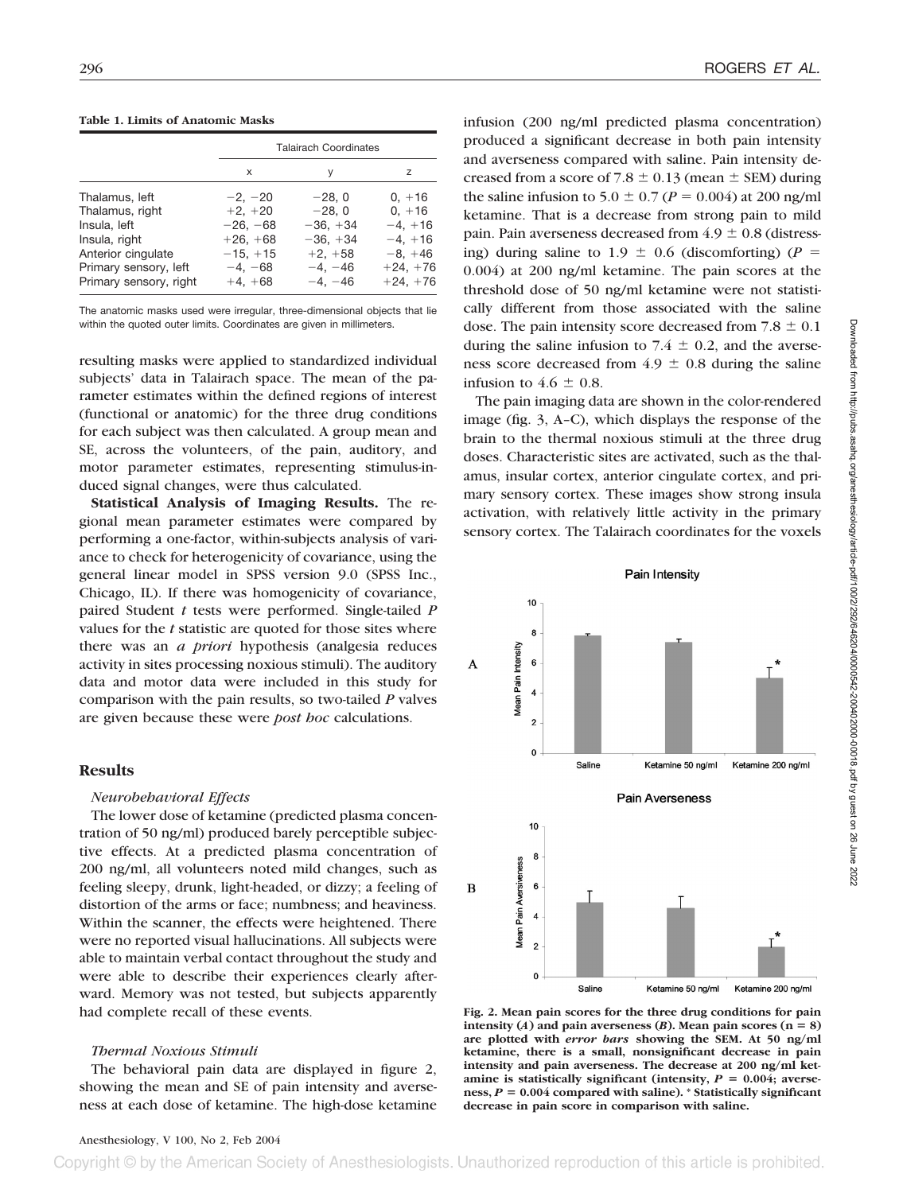#### **Table 1. Limits of Anatomic Masks**

|                                                                                                                   | <b>Talairach Coordinates</b>                                                  |                                                                          |                                                                            |  |  |  |  |
|-------------------------------------------------------------------------------------------------------------------|-------------------------------------------------------------------------------|--------------------------------------------------------------------------|----------------------------------------------------------------------------|--|--|--|--|
|                                                                                                                   | x                                                                             | У                                                                        | z                                                                          |  |  |  |  |
| Thalamus, left<br>Thalamus, right<br>Insula, left<br>Insula, right<br>Anterior cingulate<br>Primary sensory, left | $-2, -20$<br>$+2, +20$<br>$-26, -68$<br>$+26, +68$<br>$-15, +15$<br>$-4, -68$ | $-28,0$<br>$-28.0$<br>$-36, +34$<br>$-36, +34$<br>$+2, +58$<br>$-4, -46$ | $0, +16$<br>$0. + 16$<br>$-4. +16$<br>$-4. +16$<br>$-8, +46$<br>$+24, +76$ |  |  |  |  |
| Primary sensory, right                                                                                            | $+4, +68$                                                                     | $-4. -46$                                                                | $+24, +76$                                                                 |  |  |  |  |

The anatomic masks used were irregular, three-dimensional objects that lie within the quoted outer limits. Coordinates are given in millimeters.

resulting masks were applied to standardized individual subjects' data in Talairach space. The mean of the parameter estimates within the defined regions of interest (functional or anatomic) for the three drug conditions for each subject was then calculated. A group mean and SE, across the volunteers, of the pain, auditory, and motor parameter estimates, representing stimulus-induced signal changes, were thus calculated.

**Statistical Analysis of Imaging Results.** The regional mean parameter estimates were compared by performing a one-factor, within-subjects analysis of variance to check for heterogenicity of covariance, using the general linear model in SPSS version 9.0 (SPSS Inc., Chicago, IL). If there was homogenicity of covariance, paired Student *t* tests were performed. Single-tailed *P* values for the *t* statistic are quoted for those sites where there was an *a priori* hypothesis (analgesia reduces activity in sites processing noxious stimuli). The auditory data and motor data were included in this study for comparison with the pain results, so two-tailed *P* valves are given because these were *post hoc* calculations.

# **Results**

#### *Neurobehavioral Effects*

The lower dose of ketamine (predicted plasma concentration of 50 ng/ml) produced barely perceptible subjective effects. At a predicted plasma concentration of 200 ng/ml, all volunteers noted mild changes, such as feeling sleepy, drunk, light-headed, or dizzy; a feeling of distortion of the arms or face; numbness; and heaviness. Within the scanner, the effects were heightened. There were no reported visual hallucinations. All subjects were able to maintain verbal contact throughout the study and were able to describe their experiences clearly afterward. Memory was not tested, but subjects apparently had complete recall of these events.

# *Thermal Noxious Stimuli*

The behavioral pain data are displayed in figure 2, showing the mean and SE of pain intensity and averseness at each dose of ketamine. The high-dose ketamine

infusion (200 ng/ml predicted plasma concentration) produced a significant decrease in both pain intensity and averseness compared with saline. Pain intensity decreased from a score of 7.8  $\pm$  0.13 (mean  $\pm$  SEM) during the saline infusion to  $5.0 \pm 0.7$  ( $P = 0.004$ ) at 200 ng/ml ketamine. That is a decrease from strong pain to mild pain. Pain averseness decreased from  $4.9 \pm 0.8$  (distressing) during saline to 1.9  $\pm$  0.6 (discomforting) ( $P =$ 0.004) at 200 ng/ml ketamine. The pain scores at the threshold dose of 50 ng/ml ketamine were not statistically different from those associated with the saline dose. The pain intensity score decreased from  $7.8 \pm 0.1$ during the saline infusion to 7.4  $\pm$  0.2, and the averseness score decreased from  $4.9 \pm 0.8$  during the saline infusion to  $4.6 \pm 0.8$ .

The pain imaging data are shown in the color-rendered image (fig. 3, A–C), which displays the response of the brain to the thermal noxious stimuli at the three drug doses. Characteristic sites are activated, such as the thalamus, insular cortex, anterior cingulate cortex, and primary sensory cortex. These images show strong insula activation, with relatively little activity in the primary sensory cortex. The Talairach coordinates for the voxels



#### **Fig. 2. Mean pain scores for the three drug conditions for pain intensity** (*A*) and pain averseness (*B*). Mean pain scores ( $n = 8$ ) **are plotted with** *error bars* **showing the SEM. At 50 ng/ml ketamine, there is a small, nonsignificant decrease in pain intensity and pain averseness. The decrease at 200 ng/ml ket**amine is statistically significant (intensity,  $P = 0.004$ ; averse**ness,** *P* **0.004 compared with saline). \* Statistically significant decrease in pain score in comparison with saline.**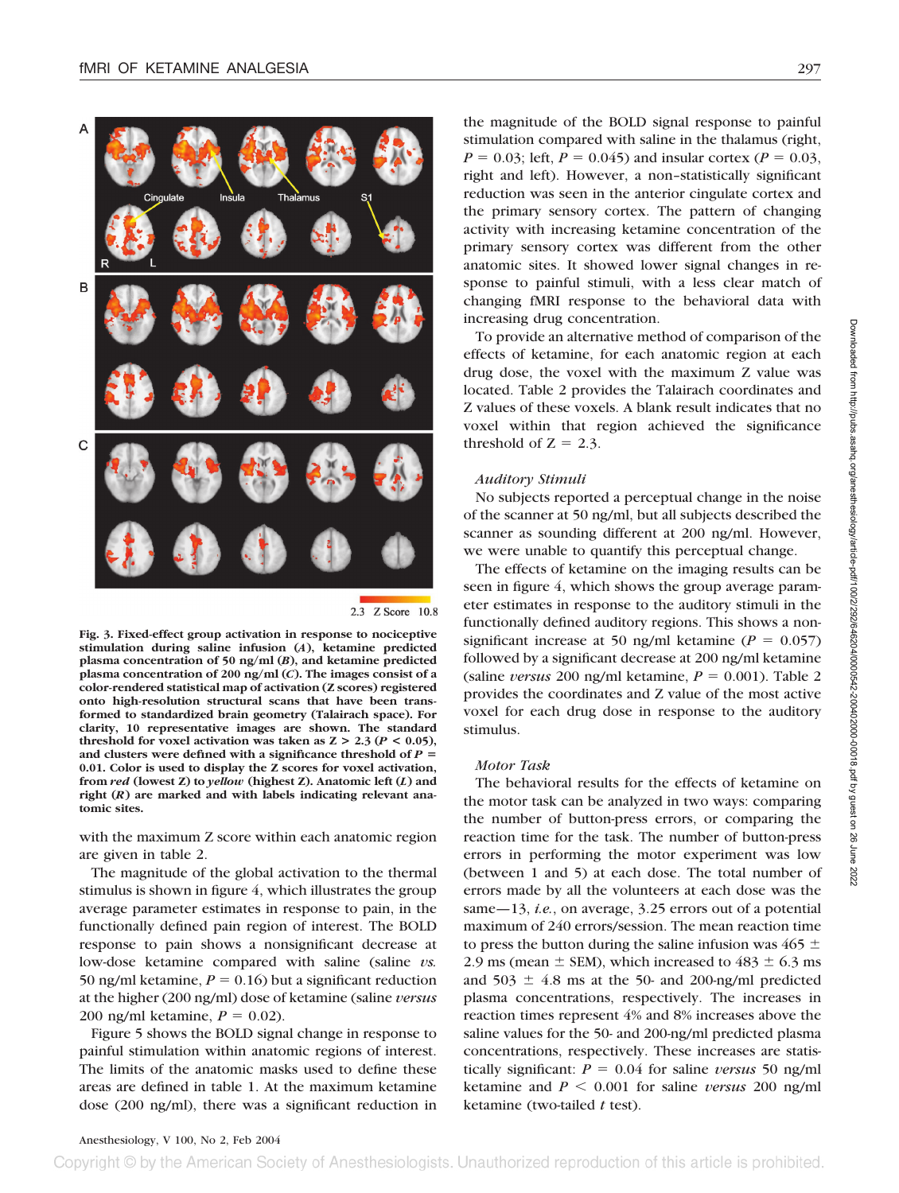

2.3 Z Score 10.8

**Fig. 3. Fixed-effect group activation in response to nociceptive stimulation during saline infusion (***A***), ketamine predicted plasma concentration of 50 ng/ml (***B***), and ketamine predicted plasma concentration of 200 ng/ml (***C***). The images consist of a color-rendered statistical map of activation (Z scores) registered onto high-resolution structural scans that have been transformed to standardized brain geometry (Talairach space). For clarity, 10 representative images are shown. The standard threshold for voxel activation was taken as**  $Z > 2.3$  **(** $P < 0.05$ **), and clusters were defined with a significance threshold of** *P* **0.01. Color is used to display the Z scores for voxel activation, from** *red* **(lowest Z) to** *yellow* **(highest Z). Anatomic left (***L***) and right (***R***) are marked and with labels indicating relevant anatomic sites.**

with the maximum Z score within each anatomic region are given in table 2.

The magnitude of the global activation to the thermal stimulus is shown in figure 4, which illustrates the group average parameter estimates in response to pain, in the functionally defined pain region of interest. The BOLD response to pain shows a nonsignificant decrease at low-dose ketamine compared with saline (saline *vs.* 50 ng/ml ketamine,  $P = 0.16$ ) but a significant reduction at the higher (200 ng/ml) dose of ketamine (saline *versus* 200 ng/ml ketamine,  $P = 0.02$ ).

Figure 5 shows the BOLD signal change in response to painful stimulation within anatomic regions of interest. The limits of the anatomic masks used to define these areas are defined in table 1. At the maximum ketamine dose (200 ng/ml), there was a significant reduction in

the magnitude of the BOLD signal response to painful stimulation compared with saline in the thalamus (right,  $P = 0.03$ ; left,  $P = 0.045$ ) and insular cortex ( $P = 0.03$ , right and left). However, a non–statistically significant reduction was seen in the anterior cingulate cortex and the primary sensory cortex. The pattern of changing activity with increasing ketamine concentration of the primary sensory cortex was different from the other anatomic sites. It showed lower signal changes in response to painful stimuli, with a less clear match of changing fMRI response to the behavioral data with increasing drug concentration.

To provide an alternative method of comparison of the effects of ketamine, for each anatomic region at each drug dose, the voxel with the maximum Z value was located. Table 2 provides the Talairach coordinates and Z values of these voxels. A blank result indicates that no voxel within that region achieved the significance threshold of  $Z = 2.3$ .

# *Auditory Stimuli*

No subjects reported a perceptual change in the noise of the scanner at 50 ng/ml, but all subjects described the scanner as sounding different at 200 ng/ml. However, we were unable to quantify this perceptual change.

The effects of ketamine on the imaging results can be seen in figure 4, which shows the group average parameter estimates in response to the auditory stimuli in the functionally defined auditory regions. This shows a nonsignificant increase at 50 ng/ml ketamine  $(P = 0.057)$ followed by a significant decrease at 200 ng/ml ketamine (saline *versus* 200 ng/ml ketamine,  $P = 0.001$ ). Table 2 provides the coordinates and Z value of the most active voxel for each drug dose in response to the auditory stimulus.

## *Motor Task*

The behavioral results for the effects of ketamine on the motor task can be analyzed in two ways: comparing the number of button-press errors, or comparing the reaction time for the task. The number of button-press errors in performing the motor experiment was low (between 1 and 5) at each dose. The total number of errors made by all the volunteers at each dose was the same—13, *i.e.*, on average, 3.25 errors out of a potential maximum of 240 errors/session. The mean reaction time to press the button during the saline infusion was 465  $\pm$ 2.9 ms (mean  $\pm$  SEM), which increased to 483  $\pm$  6.3 ms and  $503 \pm 4.8$  ms at the 50- and 200-ng/ml predicted plasma concentrations, respectively. The increases in reaction times represent 4% and 8% increases above the saline values for the 50- and 200-ng/ml predicted plasma concentrations, respectively. These increases are statistically significant:  $P = 0.04$  for saline *versus* 50 ng/ml ketamine and  $P \le 0.001$  for saline *versus* 200 ng/ml ketamine (two-tailed *t* test).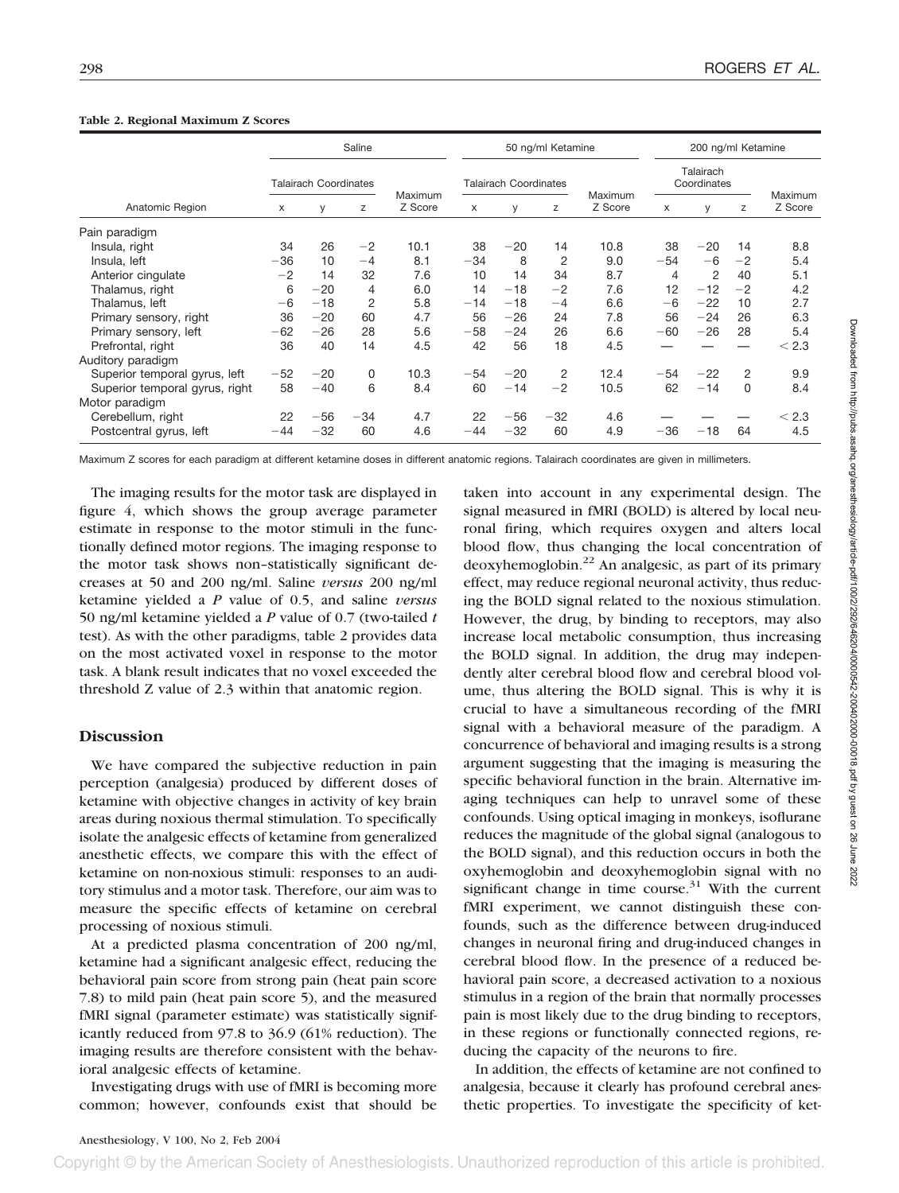| Anatomic Region                | Saline                       |       |       | 50 ng/ml Ketamine            |       |       | 200 ng/ml Ketamine       |                    |       |                |      |                    |
|--------------------------------|------------------------------|-------|-------|------------------------------|-------|-------|--------------------------|--------------------|-------|----------------|------|--------------------|
|                                | <b>Talairach Coordinates</b> |       |       | <b>Talairach Coordinates</b> |       |       | Talairach<br>Coordinates |                    |       |                |      |                    |
|                                | х                            | У     | z     | Maximum<br>Z Score           | X     | У     | Z                        | Maximum<br>Z Score | X     | У              | z    | Maximum<br>Z Score |
| Pain paradigm                  |                              |       |       |                              |       |       |                          |                    |       |                |      |                    |
| Insula, right                  | 34                           | 26    | $-2$  | 10.1                         | 38    | $-20$ | 14                       | 10.8               | 38    | $-20$          | 14   | 8.8                |
| Insula, left                   | $-36$                        | 10    | $-4$  | 8.1                          | $-34$ | 8     | 2                        | 9.0                | $-54$ | $-6$           | $-2$ | 5.4                |
| Anterior cingulate             | $-2$                         | 14    | 32    | 7.6                          | 10    | 14    | 34                       | 8.7                | 4     | $\overline{2}$ | 40   | 5.1                |
| Thalamus, right                | 6                            | $-20$ | 4     | 6.0                          | 14    | $-18$ | $-2$                     | 7.6                | 12    | $-12$          | $-2$ | 4.2                |
| Thalamus, left                 | $-6$                         | $-18$ | 2     | 5.8                          | $-14$ | $-18$ | $-4$                     | 6.6                | $-6$  | $-22$          | 10   | 2.7                |
| Primary sensory, right         | 36                           | $-20$ | 60    | 4.7                          | 56    | $-26$ | 24                       | 7.8                | 56    | $-24$          | 26   | 6.3                |
| Primary sensory, left          | $-62$                        | $-26$ | 28    | 5.6                          | $-58$ | $-24$ | 26                       | 6.6                | $-60$ | $-26$          | 28   | 5.4                |
| Prefrontal, right              | 36                           | 40    | 14    | 4.5                          | 42    | 56    | 18                       | 4.5                |       |                |      | < 2.3              |
| Auditory paradigm              |                              |       |       |                              |       |       |                          |                    |       |                |      |                    |
| Superior temporal gyrus, left  | $-52$                        | $-20$ | 0     | 10.3                         | $-54$ | $-20$ | 2                        | 12.4               | $-54$ | $-22$          | 2    | 9.9                |
| Superior temporal gyrus, right | 58                           | $-40$ | 6     | 8.4                          | 60    | $-14$ | $-2$                     | 10.5               | 62    | $-14$          | 0    | 8.4                |
| Motor paradigm                 |                              |       |       |                              |       |       |                          |                    |       |                |      |                    |
| Cerebellum, right              | 22                           | $-56$ | $-34$ | 4.7                          | 22    | $-56$ | $-32$                    | 4.6                |       |                |      | < 2.3              |
| Postcentral gyrus, left        | $-44$                        | $-32$ | 60    | 4.6                          | $-44$ | $-32$ | 60                       | 4.9                | $-36$ | $-18$          | 64   | 4.5                |

#### **Table 2. Regional Maximum Z Scores**

Maximum Z scores for each paradigm at different ketamine doses in different anatomic regions. Talairach coordinates are given in millimeters.

The imaging results for the motor task are displayed in figure 4, which shows the group average parameter estimate in response to the motor stimuli in the functionally defined motor regions. The imaging response to the motor task shows non–statistically significant decreases at 50 and 200 ng/ml. Saline *versus* 200 ng/ml ketamine yielded a *P* value of 0.5, and saline *versus* 50 ng/ml ketamine yielded a *P* value of 0.7 (two-tailed *t* test). As with the other paradigms, table 2 provides data on the most activated voxel in response to the motor task. A blank result indicates that no voxel exceeded the threshold Z value of 2.3 within that anatomic region.

# **Discussion**

We have compared the subjective reduction in pain perception (analgesia) produced by different doses of ketamine with objective changes in activity of key brain areas during noxious thermal stimulation. To specifically isolate the analgesic effects of ketamine from generalized anesthetic effects, we compare this with the effect of ketamine on non-noxious stimuli: responses to an auditory stimulus and a motor task. Therefore, our aim was to measure the specific effects of ketamine on cerebral processing of noxious stimuli.

At a predicted plasma concentration of 200 ng/ml, ketamine had a significant analgesic effect, reducing the behavioral pain score from strong pain (heat pain score 7.8) to mild pain (heat pain score 5), and the measured fMRI signal (parameter estimate) was statistically significantly reduced from 97.8 to 36.9 (61% reduction). The imaging results are therefore consistent with the behavioral analgesic effects of ketamine.

Investigating drugs with use of fMRI is becoming more common; however, confounds exist that should be taken into account in any experimental design. The signal measured in fMRI (BOLD) is altered by local neuronal firing, which requires oxygen and alters local blood flow, thus changing the local concentration of deoxyhemoglobin.22 An analgesic, as part of its primary effect, may reduce regional neuronal activity, thus reducing the BOLD signal related to the noxious stimulation. However, the drug, by binding to receptors, may also increase local metabolic consumption, thus increasing the BOLD signal. In addition, the drug may independently alter cerebral blood flow and cerebral blood volume, thus altering the BOLD signal. This is why it is crucial to have a simultaneous recording of the fMRI signal with a behavioral measure of the paradigm. A concurrence of behavioral and imaging results is a strong argument suggesting that the imaging is measuring the specific behavioral function in the brain. Alternative imaging techniques can help to unravel some of these confounds. Using optical imaging in monkeys, isoflurane reduces the magnitude of the global signal (analogous to the BOLD signal), and this reduction occurs in both the oxyhemoglobin and deoxyhemoglobin signal with no significant change in time course. $31$  With the current fMRI experiment, we cannot distinguish these confounds, such as the difference between drug-induced changes in neuronal firing and drug-induced changes in cerebral blood flow. In the presence of a reduced behavioral pain score, a decreased activation to a noxious stimulus in a region of the brain that normally processes pain is most likely due to the drug binding to receptors, in these regions or functionally connected regions, reducing the capacity of the neurons to fire.

In addition, the effects of ketamine are not confined to analgesia, because it clearly has profound cerebral anesthetic properties. To investigate the specificity of ket-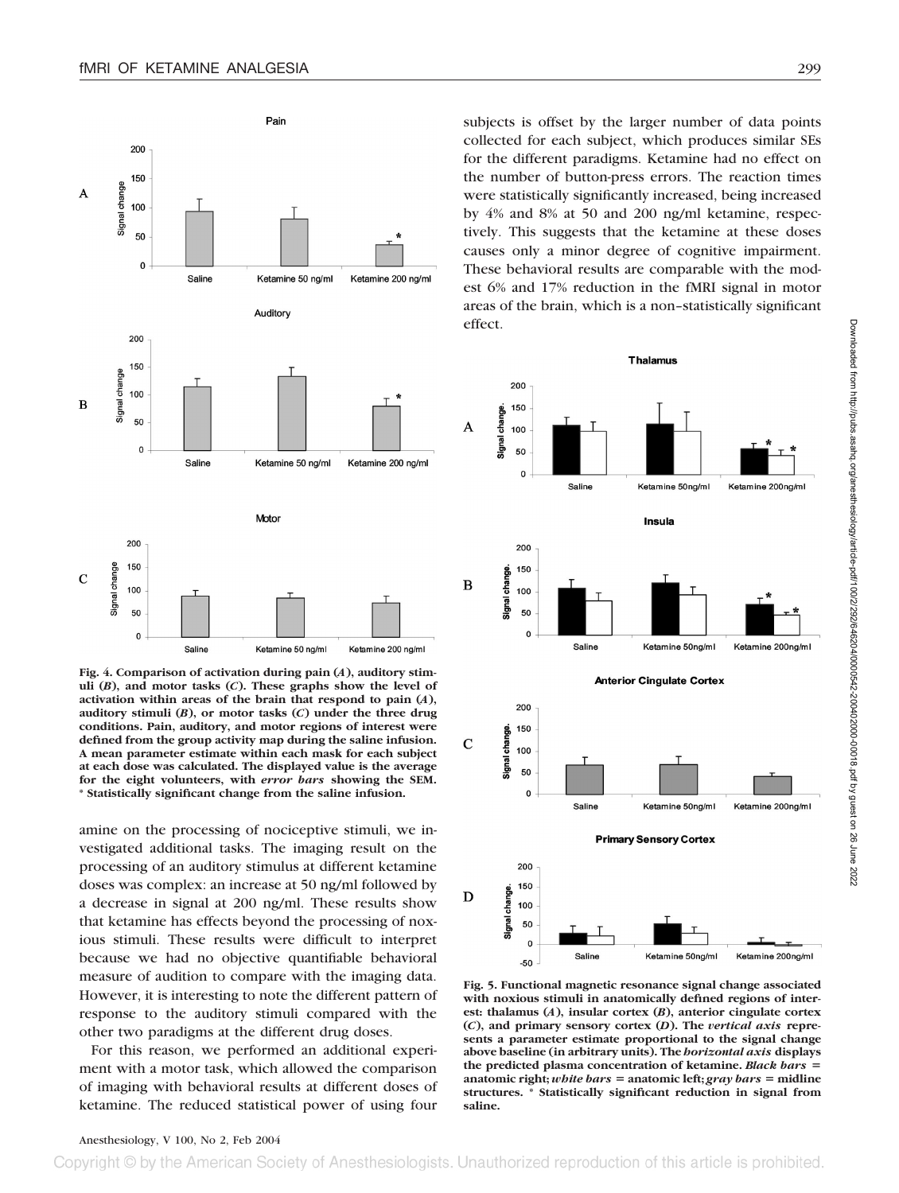

**Fig. 4. Comparison of activation during pain (***A***), auditory stimuli (***B***), and motor tasks (***C***). These graphs show the level of activation within areas of the brain that respond to pain (***A***), auditory stimuli (***B***), or motor tasks (***C***) under the three drug conditions. Pain, auditory, and motor regions of interest were defined from the group activity map during the saline infusion. A mean parameter estimate within each mask for each subject at each dose was calculated. The displayed value is the average for the eight volunteers, with** *error bars* **showing the SEM. \* Statistically significant change from the saline infusion.**

amine on the processing of nociceptive stimuli, we investigated additional tasks. The imaging result on the processing of an auditory stimulus at different ketamine doses was complex: an increase at 50 ng/ml followed by a decrease in signal at 200 ng/ml. These results show that ketamine has effects beyond the processing of noxious stimuli. These results were difficult to interpret because we had no objective quantifiable behavioral measure of audition to compare with the imaging data. However, it is interesting to note the different pattern of response to the auditory stimuli compared with the other two paradigms at the different drug doses.

For this reason, we performed an additional experiment with a motor task, which allowed the comparison of imaging with behavioral results at different doses of ketamine. The reduced statistical power of using four

subjects is offset by the larger number of data points collected for each subject, which produces similar SEs for the different paradigms. Ketamine had no effect on the number of button-press errors. The reaction times were statistically significantly increased, being increased by 4% and 8% at 50 and 200 ng/ml ketamine, respectively. This suggests that the ketamine at these doses causes only a minor degree of cognitive impairment. These behavioral results are comparable with the modest 6% and 17% reduction in the fMRI signal in motor areas of the brain, which is a non–statistically significant effect.

**Thalamus** 



**Fig. 5. Functional magnetic resonance signal change associated with noxious stimuli in anatomically defined regions of interest: thalamus (***A***), insular cortex (***B***), anterior cingulate cortex (***C***), and primary sensory cortex (***D***). The** *vertical axis* **represents a parameter estimate proportional to the signal change above baseline (in arbitrary units). The** *horizontal axis* **displays the predicted plasma concentration of ketamine.** *Black bars* anatomic right; *white bars* = anatomic left; *gray bars* = midline **structures. \* Statistically significant reduction in signal from saline.**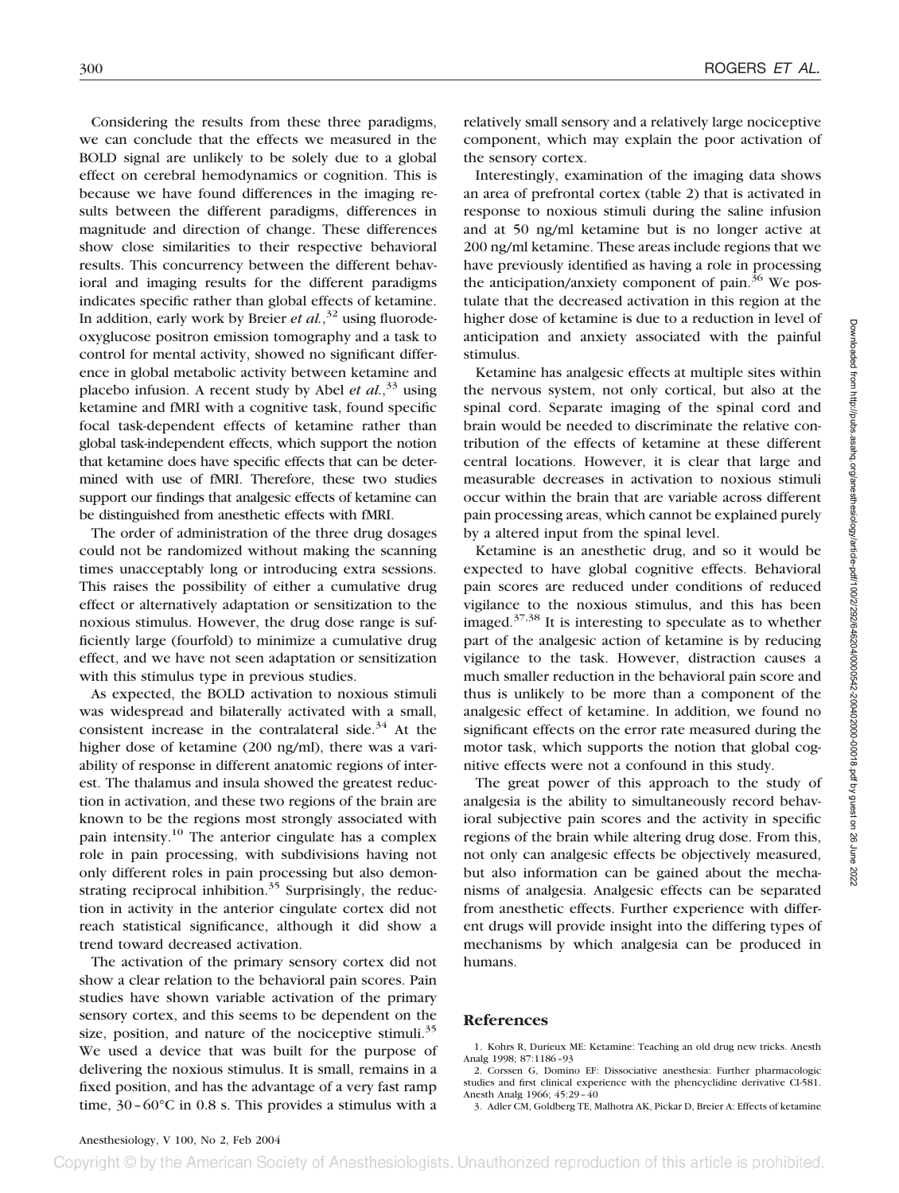Considering the results from these three paradigms, we can conclude that the effects we measured in the BOLD signal are unlikely to be solely due to a global effect on cerebral hemodynamics or cognition. This is because we have found differences in the imaging results between the different paradigms, differences in magnitude and direction of change. These differences show close similarities to their respective behavioral results. This concurrency between the different behavioral and imaging results for the different paradigms indicates specific rather than global effects of ketamine. In addition, early work by Breier *et al.*, <sup>32</sup> using fluorodeoxyglucose positron emission tomography and a task to control for mental activity, showed no significant difference in global metabolic activity between ketamine and placebo infusion. A recent study by Abel *et al.*, <sup>33</sup> using ketamine and fMRI with a cognitive task, found specific focal task-dependent effects of ketamine rather than global task-independent effects, which support the notion that ketamine does have specific effects that can be determined with use of fMRI. Therefore, these two studies support our findings that analgesic effects of ketamine can be distinguished from anesthetic effects with fMRI.

The order of administration of the three drug dosages could not be randomized without making the scanning times unacceptably long or introducing extra sessions. This raises the possibility of either a cumulative drug effect or alternatively adaptation or sensitization to the noxious stimulus. However, the drug dose range is sufficiently large (fourfold) to minimize a cumulative drug effect, and we have not seen adaptation or sensitization with this stimulus type in previous studies.

As expected, the BOLD activation to noxious stimuli was widespread and bilaterally activated with a small, consistent increase in the contralateral side. $34$  At the higher dose of ketamine (200 ng/ml), there was a variability of response in different anatomic regions of interest. The thalamus and insula showed the greatest reduction in activation, and these two regions of the brain are known to be the regions most strongly associated with pain intensity.10 The anterior cingulate has a complex role in pain processing, with subdivisions having not only different roles in pain processing but also demonstrating reciprocal inhibition. $35$  Surprisingly, the reduction in activity in the anterior cingulate cortex did not reach statistical significance, although it did show a trend toward decreased activation.

The activation of the primary sensory cortex did not show a clear relation to the behavioral pain scores. Pain studies have shown variable activation of the primary sensory cortex, and this seems to be dependent on the size, position, and nature of the nociceptive stimuli.<sup>35</sup> We used a device that was built for the purpose of delivering the noxious stimulus. It is small, remains in a fixed position, and has the advantage of a very fast ramp time, 30–60°C in 0.8 s. This provides a stimulus with a

relatively small sensory and a relatively large nociceptive component, which may explain the poor activation of the sensory cortex.

Interestingly, examination of the imaging data shows an area of prefrontal cortex (table 2) that is activated in response to noxious stimuli during the saline infusion and at 50 ng/ml ketamine but is no longer active at 200 ng/ml ketamine. These areas include regions that we have previously identified as having a role in processing the anticipation/anxiety component of pain.<sup>36</sup> We postulate that the decreased activation in this region at the higher dose of ketamine is due to a reduction in level of anticipation and anxiety associated with the painful stimulus.

Ketamine has analgesic effects at multiple sites within the nervous system, not only cortical, but also at the spinal cord. Separate imaging of the spinal cord and brain would be needed to discriminate the relative contribution of the effects of ketamine at these different central locations. However, it is clear that large and measurable decreases in activation to noxious stimuli occur within the brain that are variable across different pain processing areas, which cannot be explained purely by a altered input from the spinal level.

Ketamine is an anesthetic drug, and so it would be expected to have global cognitive effects. Behavioral pain scores are reduced under conditions of reduced vigilance to the noxious stimulus, and this has been imaged.37,38 It is interesting to speculate as to whether part of the analgesic action of ketamine is by reducing vigilance to the task. However, distraction causes a much smaller reduction in the behavioral pain score and thus is unlikely to be more than a component of the analgesic effect of ketamine. In addition, we found no significant effects on the error rate measured during the motor task, which supports the notion that global cognitive effects were not a confound in this study.

The great power of this approach to the study of analgesia is the ability to simultaneously record behavioral subjective pain scores and the activity in specific regions of the brain while altering drug dose. From this, not only can analgesic effects be objectively measured, but also information can be gained about the mechanisms of analgesia. Analgesic effects can be separated from anesthetic effects. Further experience with different drugs will provide insight into the differing types of mechanisms by which analgesia can be produced in humans.

# **References**

<sup>1.</sup> Kohrs R, Durieux ME: Ketamine: Teaching an old drug new tricks. Anesth Analg 1998; 87:1186–93

<sup>2.</sup> Corssen G, Domino EF: Dissociative anesthesia: Further pharmacologic studies and first clinical experience with the phencyclidine derivative CI-581. Anesth Analg 1966; 45:29–40

<sup>3.</sup> Adler CM, Goldberg TE, Malhotra AK, Pickar D, Breier A: Effects of ketamine